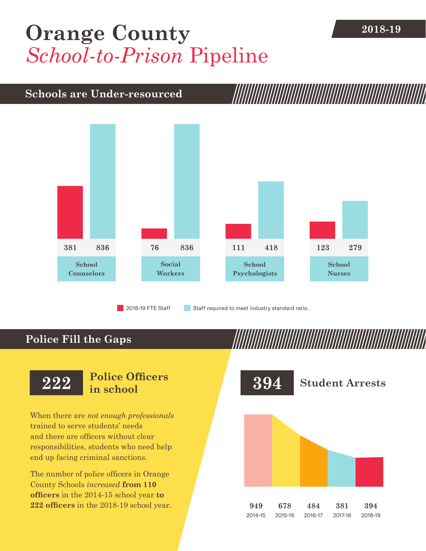## **[Orange County](DBF_County)** 2018-19 *School-to-Prison* Pipeline

## **Schools are Under-resourced**



2018-19 FTE Staff **Staff required to meet industry standard ratio.** 

### **Police Fill the Gaps**

When there are *not enough professionals* trained to serve students' needs and there are officers without clear responsibilities, students who need help end up facing criminal sanctions.

The number of police officers in [Orange](DBF_County)  [County](DBF_County) Schools *increased* **from [110](DBF_PO1415)  officers** in the 2014-15 school year **to [222](DBF_PO) officers** in the 2018-19 school year.